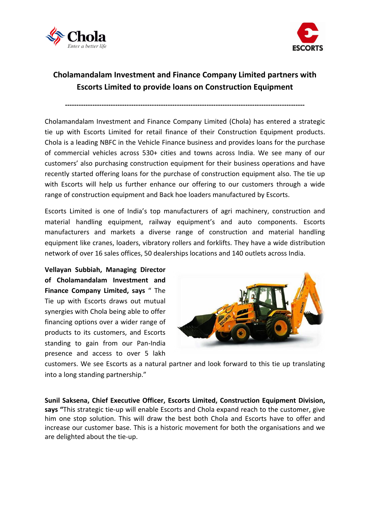



## **Cholamandalam Investment and Finance Company Limited partners with Escorts Limited to provide loans on Construction Equipment**

**---------------------------------------------------------------------------------------------------------**

Cholamandalam Investment and Finance Company Limited (Chola) has entered a strategic tie up with Escorts Limited for retail finance of their Construction Equipment products. Chola is a leading NBFC in the Vehicle Finance business and provides loans for the purchase of commercial vehicles across 530+ cities and towns across India. We see many of our customers' also purchasing construction equipment for their business operations and have recently started offering loans for the purchase of construction equipment also. The tie up with Escorts will help us further enhance our offering to our customers through a wide range of construction equipment and Back hoe loaders manufactured by Escorts.

Escorts Limited is one of India's top manufacturers of agri machinery, construction and material handling equipment, railway equipment's and auto components. Escorts manufacturers and markets a diverse range of construction and material handling equipment like cranes, loaders, vibratory rollers and forklifts. They have a wide distribution network of over 16 sales offices, 50 dealerships locations and 140 outlets across India.

**Vellayan Subbiah, Managing Director of Cholamandalam Investment and Finance Company Limited, says** " The Tie up with Escorts draws out mutual synergies with Chola being able to offer financing options over a wider range of products to its customers, and Escorts standing to gain from our Pan-India presence and access to over 5 lakh



customers. We see Escorts as a natural partner and look forward to this tie up translating into a long standing partnership."

**Sunil Saksena, Chief Executive Officer, Escorts Limited, Construction Equipment Division, says "**This strategic tie-up will enable Escorts and Chola expand reach to the customer, give him one stop solution. This will draw the best both Chola and Escorts have to offer and increase our customer base. This is a historic movement for both the organisations and we are delighted about the tie-up.